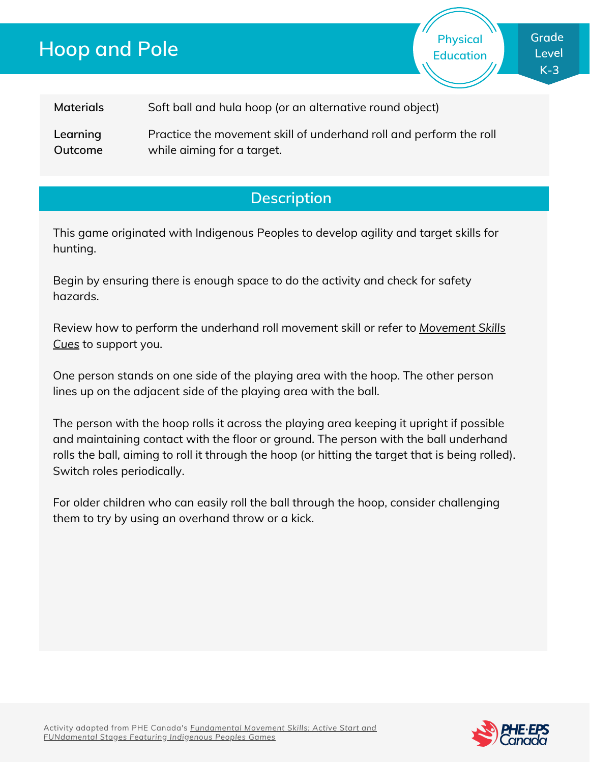## **Hoop and Pole**

Activity adapted from PHE Canada's *Fundamental Movement Skills: Active Start and [FUNdamental](https://phecanada.ca/programs/fundamental-movement-skills-series) Stages Featuring Indigenous Peoples Games*

**Materials Learning Outcome** Soft ball and hula hoop (or an alternative round object) Practice the movement skill of underhand roll and perform the roll while aiming for a target.

## **Description**

This game originated with Indigenous Peoples to develop agility and target skills for hunting.

Begin by ensuring there is enough space to do the activity and check for safety hazards.

Review how to perform the [underhand](http://phecanada.ca/movementskillscues) roll movement skill or refer to *Movement Skills Cues* to support you.

One person stands on one side of the playing area with the hoop. The other person lines up on the adjacent side of the playing area with the ball.

The person with the hoop rolls it across the playing area keeping it upright if possible and maintaining contact with the floor or ground. The person with the ball underhand rolls the ball, aiming to roll it through the hoop (or hitting the target that is being rolled). Switch roles periodically.

For older children who can easily roll the ball through the hoop, consider challenging them to try by using an overhand throw or a kick.



**Physical Education**